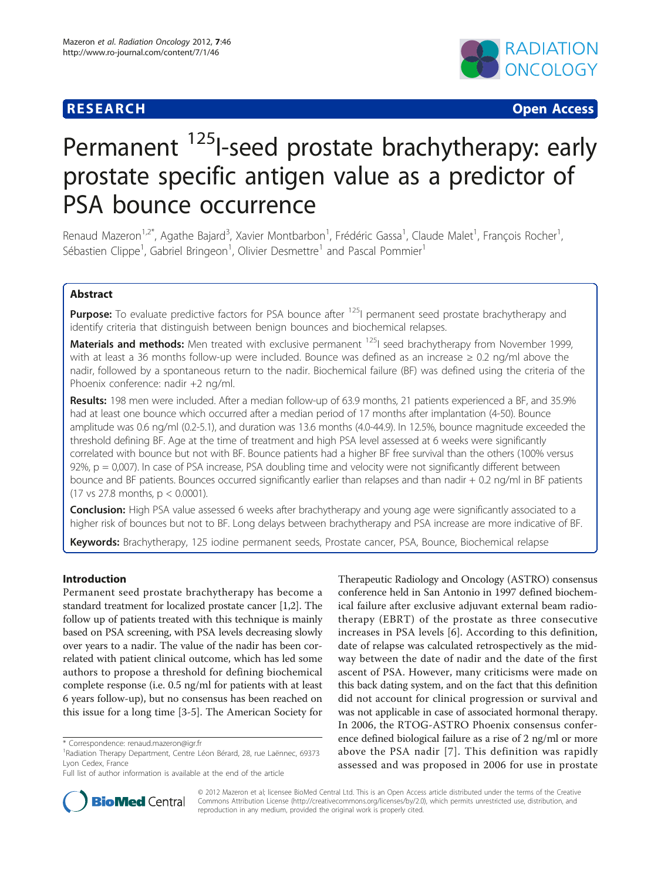## **RESEARCH CHRISTIAN CONSUMING CONTRACT CONSUMING CONSUMING CONSUMING CONSUMING CONSUMING CONSUMING CONSUMING CO**



# Permanent <sup>125</sup>I-seed prostate brachytherapy: early prostate specific antigen value as a predictor of PSA bounce occurrence

Renaud Mazeron<sup>1,2\*</sup>, Agathe Bajard<sup>3</sup>, Xavier Montbarbon<sup>1</sup>, Frédéric Gassa<sup>1</sup>, Claude Malet<sup>1</sup>, François Rocher<sup>1</sup> , Sébastien Clippe<sup>1</sup>, Gabriel Bringeon<sup>1</sup>, Olivier Desmettre<sup>1</sup> and Pascal Pommier<sup>1</sup>

## Abstract

**Purpose:** To evaluate predictive factors for PSA bounce after <sup>125</sup>I permanent seed prostate brachytherapy and identify criteria that distinguish between benign bounces and biochemical relapses.

Materials and methods: Men treated with exclusive permanent <sup>125</sup>I seed brachytherapy from November 1999, with at least a 36 months follow-up were included. Bounce was defined as an increase  $\geq 0.2$  ng/ml above the nadir, followed by a spontaneous return to the nadir. Biochemical failure (BF) was defined using the criteria of the Phoenix conference: nadir +2 ng/ml.

Results: 198 men were included. After a median follow-up of 63.9 months, 21 patients experienced a BF, and 35.9% had at least one bounce which occurred after a median period of 17 months after implantation (4-50). Bounce amplitude was 0.6 ng/ml (0.2-5.1), and duration was 13.6 months (4.0-44.9). In 12.5%, bounce magnitude exceeded the threshold defining BF. Age at the time of treatment and high PSA level assessed at 6 weeks were significantly correlated with bounce but not with BF. Bounce patients had a higher BF free survival than the others (100% versus  $92\%$ ,  $p = 0,007$ ). In case of PSA increase, PSA doubling time and velocity were not significantly different between bounce and BF patients. Bounces occurred significantly earlier than relapses and than nadir + 0.2 ng/ml in BF patients (17 vs 27.8 months, p < 0.0001).

**Conclusion:** High PSA value assessed 6 weeks after brachytherapy and young age were significantly associated to a higher risk of bounces but not to BF. Long delays between brachytherapy and PSA increase are more indicative of BF.

Keywords: Brachytherapy, 125 iodine permanent seeds, Prostate cancer, PSA, Bounce, Biochemical relapse

## Introduction

Permanent seed prostate brachytherapy has become a standard treatment for localized prostate cancer [[1,2\]](#page-10-0). The follow up of patients treated with this technique is mainly based on PSA screening, with PSA levels decreasing slowly over years to a nadir. The value of the nadir has been correlated with patient clinical outcome, which has led some authors to propose a threshold for defining biochemical complete response (i.e. 0.5 ng/ml for patients with at least 6 years follow-up), but no consensus has been reached on this issue for a long time [[3-5](#page-10-0)]. The American Society for

Therapeutic Radiology and Oncology (ASTRO) consensus conference held in San Antonio in 1997 defined biochemical failure after exclusive adjuvant external beam radiotherapy (EBRT) of the prostate as three consecutive increases in PSA levels [\[6\]](#page-10-0). According to this definition, date of relapse was calculated retrospectively as the midway between the date of nadir and the date of the first ascent of PSA. However, many criticisms were made on this back dating system, and on the fact that this definition did not account for clinical progression or survival and was not applicable in case of associated hormonal therapy. In 2006, the RTOG-ASTRO Phoenix consensus conference defined biological failure as a rise of 2 ng/ml or more above the PSA nadir [[7](#page-10-0)]. This definition was rapidly assessed and was proposed in 2006 for use in prostate



© 2012 Mazeron et al; licensee BioMed Central Ltd. This is an Open Access article distributed under the terms of the Creative Commons Attribution License [\(http://creativecommons.org/licenses/by/2.0](http://creativecommons.org/licenses/by/2.0)), which permits unrestricted use, distribution, and reproduction in any medium, provided the original work is properly cited.

<sup>\*</sup> Correspondence: [renaud.mazeron@igr.fr](mailto:renaud.mazeron@igr.fr)

<sup>&</sup>lt;sup>1</sup> Radiation Therapy Department, Centre Léon Bérard, 28, rue Laënnec, 69373 Lyon Cedex, France

Full list of author information is available at the end of the article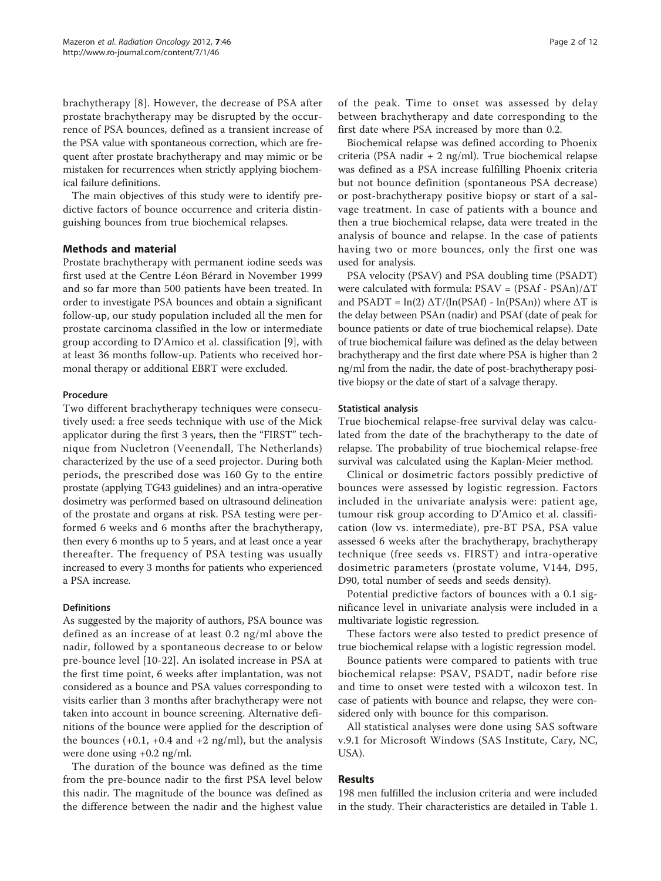brachytherapy [[8](#page-10-0)]. However, the decrease of PSA after prostate brachytherapy may be disrupted by the occurrence of PSA bounces, defined as a transient increase of the PSA value with spontaneous correction, which are frequent after prostate brachytherapy and may mimic or be mistaken for recurrences when strictly applying biochemical failure definitions.

The main objectives of this study were to identify predictive factors of bounce occurrence and criteria distinguishing bounces from true biochemical relapses.

## Methods and material

Prostate brachytherapy with permanent iodine seeds was first used at the Centre Léon Bérard in November 1999 and so far more than 500 patients have been treated. In order to investigate PSA bounces and obtain a significant follow-up, our study population included all the men for prostate carcinoma classified in the low or intermediate group according to D'Amico et al. classification [\[9](#page-10-0)], with at least 36 months follow-up. Patients who received hormonal therapy or additional EBRT were excluded.

## Procedure

Two different brachytherapy techniques were consecutively used: a free seeds technique with use of the Mick applicator during the first 3 years, then the "FIRST" technique from Nucletron (Veenendall, The Netherlands) characterized by the use of a seed projector. During both periods, the prescribed dose was 160 Gy to the entire prostate (applying TG43 guidelines) and an intra-operative dosimetry was performed based on ultrasound delineation of the prostate and organs at risk. PSA testing were performed 6 weeks and 6 months after the brachytherapy, then every 6 months up to 5 years, and at least once a year thereafter. The frequency of PSA testing was usually increased to every 3 months for patients who experienced a PSA increase.

## **Definitions**

As suggested by the majority of authors, PSA bounce was defined as an increase of at least 0.2 ng/ml above the nadir, followed by a spontaneous decrease to or below pre-bounce level [\[10](#page-10-0)-[22\]](#page-10-0). An isolated increase in PSA at the first time point, 6 weeks after implantation, was not considered as a bounce and PSA values corresponding to visits earlier than 3 months after brachytherapy were not taken into account in bounce screening. Alternative definitions of the bounce were applied for the description of the bounces  $(+0.1, +0.4 \text{ and } +2 \text{ ng/ml})$ , but the analysis were done using +0.2 ng/ml.

The duration of the bounce was defined as the time from the pre-bounce nadir to the first PSA level below this nadir. The magnitude of the bounce was defined as the difference between the nadir and the highest value

of the peak. Time to onset was assessed by delay between brachytherapy and date corresponding to the first date where PSA increased by more than 0.2.

Biochemical relapse was defined according to Phoenix criteria (PSA nadir + 2 ng/ml). True biochemical relapse was defined as a PSA increase fulfilling Phoenix criteria but not bounce definition (spontaneous PSA decrease) or post-brachytherapy positive biopsy or start of a salvage treatment. In case of patients with a bounce and then a true biochemical relapse, data were treated in the analysis of bounce and relapse. In the case of patients having two or more bounces, only the first one was used for analysis.

PSA velocity (PSAV) and PSA doubling time (PSADT) were calculated with formula: PSAV = (PSAf - PSAn)/ΔT and PSADT =  $ln(2) \Delta T/(ln(PSAf) - ln(PSAn))$  where  $\Delta T$  is the delay between PSAn (nadir) and PSAf (date of peak for bounce patients or date of true biochemical relapse). Date of true biochemical failure was defined as the delay between brachytherapy and the first date where PSA is higher than 2 ng/ml from the nadir, the date of post-brachytherapy positive biopsy or the date of start of a salvage therapy.

## Statistical analysis

True biochemical relapse-free survival delay was calculated from the date of the brachytherapy to the date of relapse. The probability of true biochemical relapse-free survival was calculated using the Kaplan-Meier method.

Clinical or dosimetric factors possibly predictive of bounces were assessed by logistic regression. Factors included in the univariate analysis were: patient age, tumour risk group according to D'Amico et al. classification (low vs. intermediate), pre-BT PSA, PSA value assessed 6 weeks after the brachytherapy, brachytherapy technique (free seeds vs. FIRST) and intra-operative dosimetric parameters (prostate volume, V144, D95, D90, total number of seeds and seeds density).

Potential predictive factors of bounces with a 0.1 significance level in univariate analysis were included in a multivariate logistic regression.

These factors were also tested to predict presence of true biochemical relapse with a logistic regression model.

Bounce patients were compared to patients with true biochemical relapse: PSAV, PSADT, nadir before rise and time to onset were tested with a wilcoxon test. In case of patients with bounce and relapse, they were considered only with bounce for this comparison.

All statistical analyses were done using SAS software v.9.1 for Microsoft Windows (SAS Institute, Cary, NC, USA).

## Results

198 men fulfilled the inclusion criteria and were included in the study. Their characteristics are detailed in Table [1](#page-2-0).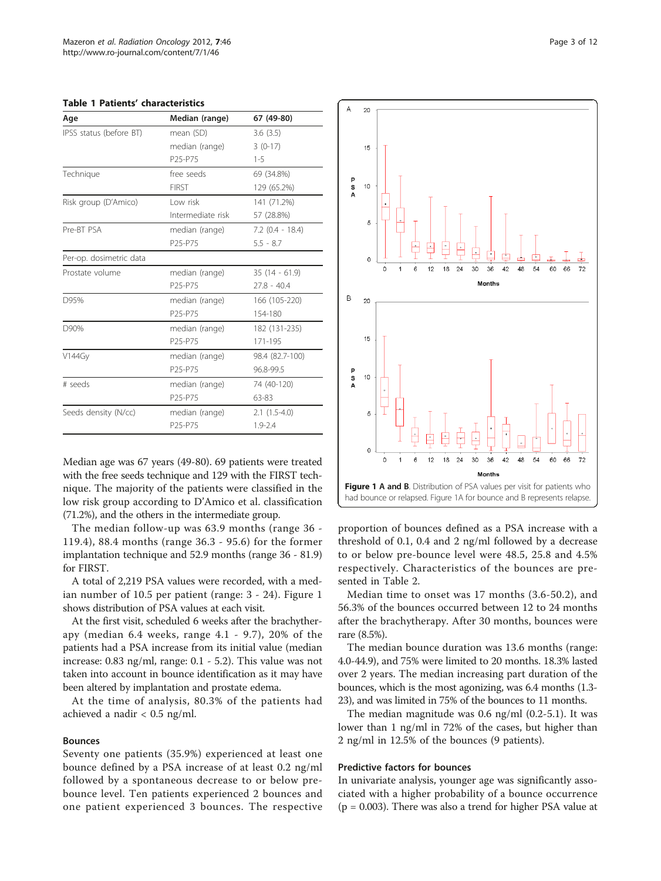<span id="page-2-0"></span>

| <b>Table 1 Patients' characteristics</b> |  |
|------------------------------------------|--|
|------------------------------------------|--|

| Age                     | Median (range)                   | 67 (49-80)         |  |  |
|-------------------------|----------------------------------|--------------------|--|--|
| IPSS status (before BT) | mean (SD)                        | 3.6(3.5)           |  |  |
|                         | median (range)                   | $3(0-17)$          |  |  |
|                         | P25-P75                          | $1 - 5$            |  |  |
| Technique               | free seeds                       | 69 (34.8%)         |  |  |
|                         | <b>FIRST</b>                     | 129 (65.2%)        |  |  |
| Risk group (D'Amico)    | Low risk                         | 141 (71.2%)        |  |  |
|                         | Intermediate risk                | 57 (28.8%)         |  |  |
| Pre-BT PSA              | median (range)                   | $7.2$ (0.4 - 18.4) |  |  |
|                         | P25-P75                          | $5.5 - 8.7$        |  |  |
| Per-op. dosimetric data |                                  |                    |  |  |
| Prostate volume         | median (range)                   | $35(14 - 61.9)$    |  |  |
|                         | P25-P75                          | $27.8 - 40.4$      |  |  |
| D95%                    | median (range)                   | 166 (105-220)      |  |  |
|                         | P25-P75                          | 154-180            |  |  |
| D90%                    | median (range)                   | 182 (131-235)      |  |  |
|                         | P25-P75                          | 171-195            |  |  |
| <b>V144Gy</b>           | median (range)                   | 98.4 (82.7-100)    |  |  |
|                         | P25-P75                          | 96.8-99.5          |  |  |
| # seeds                 | median (range)                   | 74 (40-120)        |  |  |
|                         | P <sub>25</sub> -P <sub>75</sub> | 63-83              |  |  |
| Seeds density (N/cc)    | median (range)                   | $2.1(1.5-4.0)$     |  |  |
|                         | P25-P75                          | $1.9 - 2.4$        |  |  |

Median age was 67 years (49-80). 69 patients were treated with the free seeds technique and 129 with the FIRST technique. The majority of the patients were classified in the low risk group according to D'Amico et al. classification (71.2%), and the others in the intermediate group.

The median follow-up was 63.9 months (range 36 - 119.4), 88.4 months (range 36.3 - 95.6) for the former implantation technique and 52.9 months (range 36 - 81.9) for FIRST.

A total of 2,219 PSA values were recorded, with a median number of 10.5 per patient (range: 3 - 24). Figure 1 shows distribution of PSA values at each visit.

At the first visit, scheduled 6 weeks after the brachytherapy (median 6.4 weeks, range 4.1 - 9.7), 20% of the patients had a PSA increase from its initial value (median increase: 0.83 ng/ml, range: 0.1 - 5.2). This value was not taken into account in bounce identification as it may have been altered by implantation and prostate edema.

At the time of analysis, 80.3% of the patients had achieved a nadir < 0.5 ng/ml.

#### Bounces

Seventy one patients (35.9%) experienced at least one bounce defined by a PSA increase of at least 0.2 ng/ml followed by a spontaneous decrease to or below prebounce level. Ten patients experienced 2 bounces and one patient experienced 3 bounces. The respective



proportion of bounces defined as a PSA increase with a threshold of 0.1, 0.4 and 2 ng/ml followed by a decrease to or below pre-bounce level were 48.5, 25.8 and 4.5% respectively. Characteristics of the bounces are presented in Table [2](#page-3-0).

Median time to onset was 17 months (3.6-50.2), and 56.3% of the bounces occurred between 12 to 24 months after the brachytherapy. After 30 months, bounces were rare (8.5%).

The median bounce duration was 13.6 months (range: 4.0-44.9), and 75% were limited to 20 months. 18.3% lasted over 2 years. The median increasing part duration of the bounces, which is the most agonizing, was 6.4 months (1.3- 23), and was limited in 75% of the bounces to 11 months.

The median magnitude was 0.6 ng/ml (0.2-5.1). It was lower than 1 ng/ml in 72% of the cases, but higher than 2 ng/ml in 12.5% of the bounces (9 patients).

## Predictive factors for bounces

In univariate analysis, younger age was significantly associated with a higher probability of a bounce occurrence  $(p = 0.003)$ . There was also a trend for higher PSA value at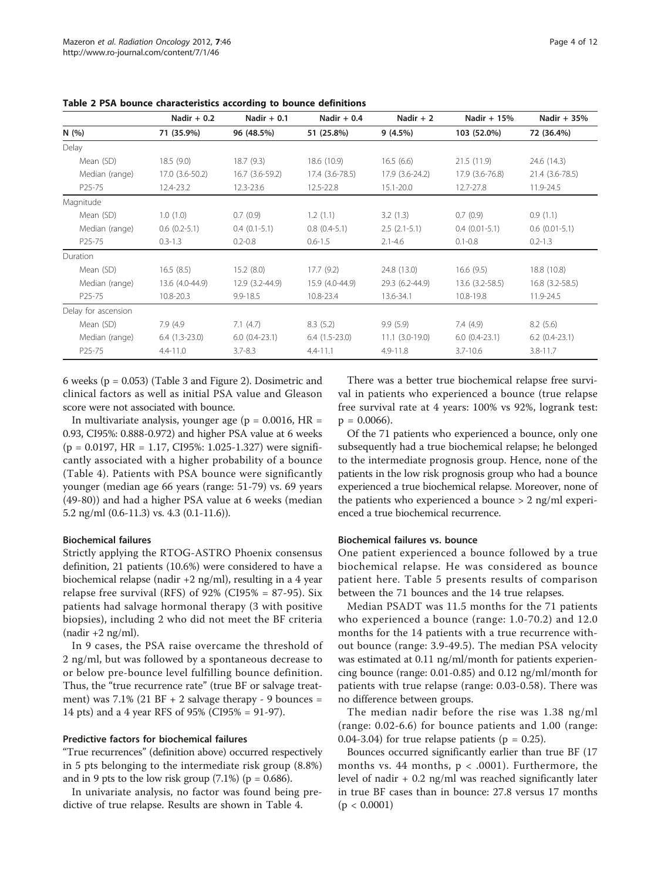|                     | Nadir $+0.2$<br>Nadir $+0.1$ |                    | Nadir $+0.4$    | Nadir $+2$        | Nadir + $15%$   | Nadir $+35%$          |
|---------------------|------------------------------|--------------------|-----------------|-------------------|-----------------|-----------------------|
| N(%)                | 71 (35.9%)                   | 96 (48.5%)         | 51 (25.8%)      | 9(4.5%)           | 103 (52.0%)     | 72 (36.4%)            |
| Delay               |                              |                    |                 |                   |                 |                       |
| Mean (SD)           | 18.5(9.0)                    | 18.7(9.3)          | 18.6 (10.9)     | 16.5(6.6)         | 21.5(11.9)      | 24.6 (14.3)           |
| Median (range)      | 17.0 (3.6-50.2)              | 16.7 (3.6-59.2)    | 17.4 (3.6-78.5) | 17.9 (3.6-24.2)   | 17.9 (3.6-76.8) | 21.4 (3.6-78.5)       |
| P <sub>25</sub> -75 | 12.4-23.2                    | 12.3-23.6          | 12.5-22.8       | $15.1 - 20.0$     | 12.7-27.8       | 11.9-24.5             |
| Magnitude           |                              |                    |                 |                   |                 |                       |
| Mean (SD)           | 1.0(1.0)                     | 0.7(0.9)           | 1.2(1.1)        | 3.2(1.3)          | 0.7(0.9)        | 0.9(1.1)              |
| Median (range)      | $0.6(0.2-5.1)$               | $0.4(0.1-5.1)$     | $0.8(0.4-5.1)$  | $2.5(2.1-5.1)$    | $0.4(0.01-5.1)$ | $0.6$ $(0.01 - 5.1)$  |
| P <sub>25</sub> -75 | $0.3 - 1.3$                  | $0.2 - 0.8$        | $0.6 - 1.5$     | $2.1 - 4.6$       | $0.1 - 0.8$     | $0.2 - 1.3$           |
| Duration            |                              |                    |                 |                   |                 |                       |
| Mean (SD)           | 16.5(8.5)                    | 15.2(8.0)          | 17.7(9.2)       | 24.8 (13.0)       | 16.6(9.5)       | 18.8 (10.8)           |
| Median (range)      | 13.6 (4.0-44.9)              | $12.9(3.2 - 44.9)$ | 15.9 (4.0-44.9) | 29.3 (6.2-44.9)   | 13.6 (3.2-58.5) | $16.8$ $(3.2 - 58.5)$ |
| P <sub>25</sub> -75 | 10.8-20.3                    | $9.9 - 18.5$       | 10.8-23.4       | 13.6-34.1         | 10.8-19.8       | 11.9-24.5             |
| Delay for ascension |                              |                    |                 |                   |                 |                       |
| Mean (SD)           | 7.9 (4.9)                    | 7.1(4.7)           | 8.3(5.2)        | 9.9(5.9)          | 7.4(4.9)        | 8.2(5.6)              |
| Median (range)      | $6.4(1.3-23.0)$              | $6.0(0.4-23.1)$    | $6.4(1.5-23.0)$ | $11.1 (3.0-19.0)$ | $6.0(0.4-23.1)$ | $6.2$ $(0.4-23.1)$    |
| P <sub>25</sub> -75 | $4.4 - 11.0$                 | $3.7 - 8.3$        | $4.4 - 11.1$    | $4.9 - 11.8$      | $3.7 - 10.6$    | $3.8 - 11.7$          |

<span id="page-3-0"></span>Table 2 PSA bounce characteristics according to bounce definitions

6 weeks ( $p = 0.053$ ) (Table [3](#page-4-0) and Figure [2\)](#page-4-0). Dosimetric and clinical factors as well as initial PSA value and Gleason score were not associated with bounce.

In multivariate analysis, younger age ( $p = 0.0016$ ,  $HR =$ 0.93, CI95%: 0.888-0.972) and higher PSA value at 6 weeks  $(p = 0.0197, HR = 1.17, CI95\%: 1.025-1.327)$  were significantly associated with a higher probability of a bounce (Table [4](#page-5-0)). Patients with PSA bounce were significantly younger (median age 66 years (range: 51-79) vs. 69 years (49-80)) and had a higher PSA value at 6 weeks (median 5.2 ng/ml (0.6-11.3) vs. 4.3 (0.1-11.6)).

## Biochemical failures

Strictly applying the RTOG-ASTRO Phoenix consensus definition, 21 patients (10.6%) were considered to have a biochemical relapse (nadir +2 ng/ml), resulting in a 4 year relapse free survival (RFS) of  $92\%$  (CI95% = 87-95). Six patients had salvage hormonal therapy (3 with positive biopsies), including 2 who did not meet the BF criteria  $(nadir +2 ng/ml)$ .

In 9 cases, the PSA raise overcame the threshold of 2 ng/ml, but was followed by a spontaneous decrease to or below pre-bounce level fulfilling bounce definition. Thus, the "true recurrence rate" (true BF or salvage treatment) was  $7.1\%$  (21 BF + 2 salvage therapy - 9 bounces = 14 pts) and a 4 year RFS of 95% (CI95% = 91-97).

## Predictive factors for biochemical failures

"True recurrences" (definition above) occurred respectively in 5 pts belonging to the intermediate risk group (8.8%) and in 9 pts to the low risk group  $(7.1\%)$  (p = 0.686).

In univariate analysis, no factor was found being predictive of true relapse. Results are shown in Table [4.](#page-5-0)

There was a better true biochemical relapse free survival in patients who experienced a bounce (true relapse free survival rate at 4 years: 100% vs 92%, logrank test:  $p = 0.0066$ ).

Of the 71 patients who experienced a bounce, only one subsequently had a true biochemical relapse; he belonged to the intermediate prognosis group. Hence, none of the patients in the low risk prognosis group who had a bounce experienced a true biochemical relapse. Moreover, none of the patients who experienced a bounce > 2 ng/ml experienced a true biochemical recurrence.

## Biochemical failures vs. bounce

One patient experienced a bounce followed by a true biochemical relapse. He was considered as bounce patient here. Table [5](#page-5-0) presents results of comparison between the 71 bounces and the 14 true relapses.

Median PSADT was 11.5 months for the 71 patients who experienced a bounce (range: 1.0-70.2) and 12.0 months for the 14 patients with a true recurrence without bounce (range: 3.9-49.5). The median PSA velocity was estimated at 0.11 ng/ml/month for patients experiencing bounce (range: 0.01-0.85) and 0.12 ng/ml/month for patients with true relapse (range: 0.03-0.58). There was no difference between groups.

The median nadir before the rise was 1.38 ng/ml (range: 0.02-6.6) for bounce patients and 1.00 (range: 0.04-3.04) for true relapse patients ( $p = 0.25$ ).

Bounces occurred significantly earlier than true BF (17 months vs. 44 months,  $p < .0001$ ). Furthermore, the level of nadir + 0.2 ng/ml was reached significantly later in true BF cases than in bounce: 27.8 versus 17 months  $(p < 0.0001)$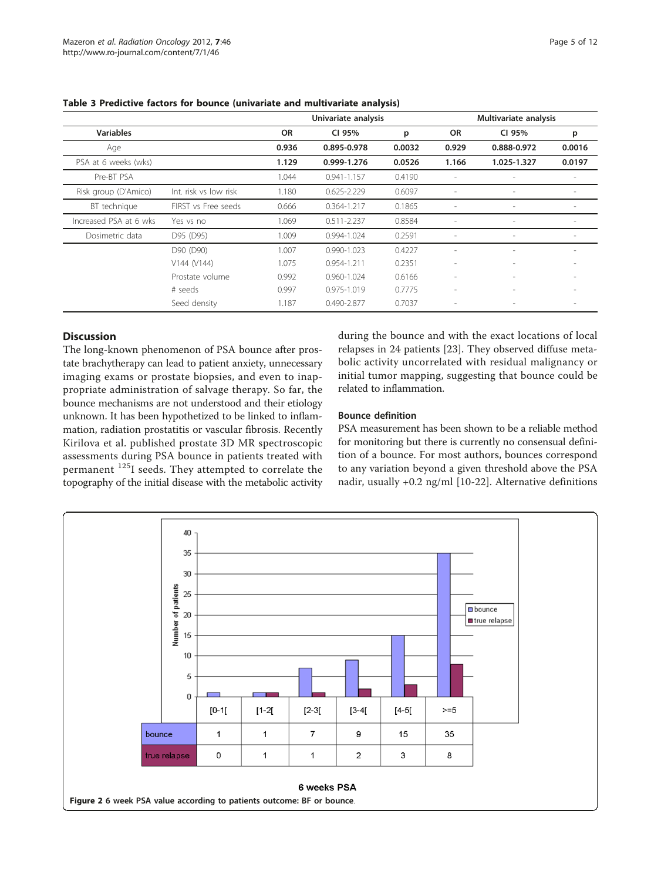|                        |                       |           | Univariate analysis |        | Multivariate analysis    |                          |                          |  |
|------------------------|-----------------------|-----------|---------------------|--------|--------------------------|--------------------------|--------------------------|--|
| <b>Variables</b>       |                       | <b>OR</b> | CI 95%              | p      | <b>OR</b>                | CI 95%                   | p                        |  |
| Age                    |                       | 0.936     | 0.895-0.978         | 0.0032 | 0.929                    | 0.888-0.972              | 0.0016                   |  |
| PSA at 6 weeks (wks)   |                       | 1.129     | 0.999-1.276         | 0.0526 | 1.166                    | 1.025-1.327              | 0.0197                   |  |
| Pre-BT PSA             |                       | 1.044     | 0.941-1.157         | 0.4190 |                          |                          |                          |  |
| Risk group (D'Amico)   | Int. risk vs low risk | 1.180     | $0.625 - 2.229$     | 0.6097 |                          | $\overline{\phantom{a}}$ | $\overline{\phantom{a}}$ |  |
| BT technique           | FIRST vs Free seeds   | 0.666     | 0.364-1.217         | 0.1865 |                          | $\sim$                   | $\overline{\phantom{a}}$ |  |
| Increased PSA at 6 wks | Yes vs no             | 1.069     | $0.511 - 2.237$     | 0.8584 |                          | $\overline{\phantom{a}}$ | $\overline{\phantom{a}}$ |  |
| Dosimetric data        | D95 (D95)             | 1.009     | 0.994-1.024         | 0.2591 |                          | $\overline{\phantom{a}}$ | $\overline{\phantom{a}}$ |  |
|                        | D90 (D90)             | 1.007     | 0.990-1.023         | 0.4227 |                          | $\overline{\phantom{a}}$ | $\overline{\phantom{a}}$ |  |
|                        | V144 (V144)           | 1.075     | 0.954-1.211         | 0.2351 |                          | $\overline{\phantom{a}}$ | $\overline{\phantom{a}}$ |  |
|                        | Prostate volume       | 0.992     | $0.960 - 1.024$     | 0.6166 | $\overline{\phantom{a}}$ | $\overline{\phantom{a}}$ |                          |  |
|                        | # seeds               | 0.997     | 0.975-1.019         | 0.7775 |                          | $\overline{\phantom{a}}$ |                          |  |
|                        | Seed density          | 1.187     | 0.490-2.877         | 0.7037 |                          |                          |                          |  |

<span id="page-4-0"></span>Table 3 Predictive factors for bounce (univariate and multivariate analysis)

## Discussion

The long-known phenomenon of PSA bounce after prostate brachytherapy can lead to patient anxiety, unnecessary imaging exams or prostate biopsies, and even to inappropriate administration of salvage therapy. So far, the bounce mechanisms are not understood and their etiology unknown. It has been hypothetized to be linked to inflammation, radiation prostatitis or vascular fibrosis. Recently Kirilova et al. published prostate 3D MR spectroscopic assessments during PSA bounce in patients treated with permanent 125I seeds. They attempted to correlate the topography of the initial disease with the metabolic activity during the bounce and with the exact locations of local relapses in 24 patients [[23\]](#page-10-0). They observed diffuse metabolic activity uncorrelated with residual malignancy or initial tumor mapping, suggesting that bounce could be related to inflammation.

## Bounce definition

PSA measurement has been shown to be a reliable method for monitoring but there is currently no consensual definition of a bounce. For most authors, bounces correspond to any variation beyond a given threshold above the PSA nadir, usually +0.2 ng/ml [[10-22](#page-10-0)]. Alternative definitions

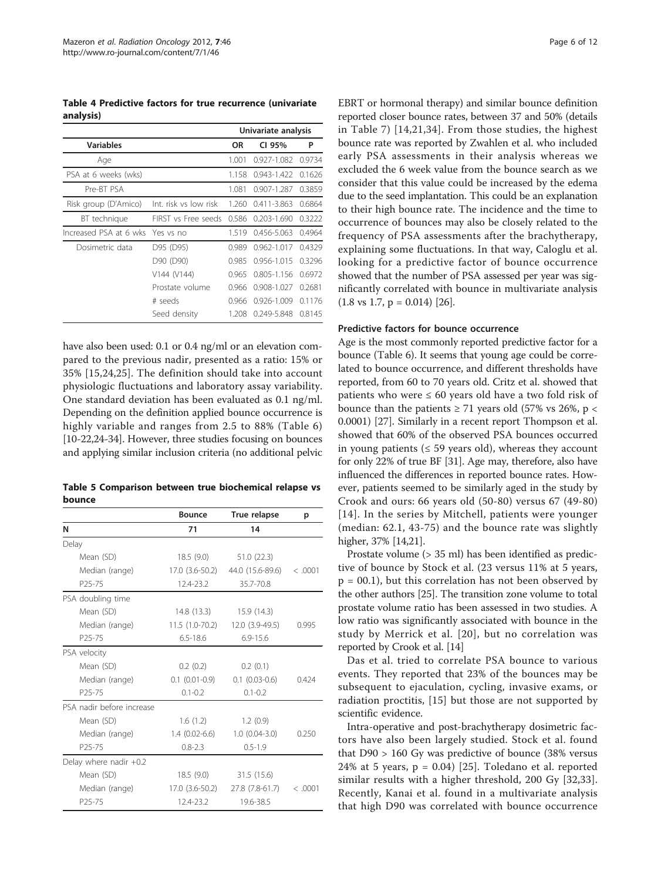<span id="page-5-0"></span>Table 4 Predictive factors for true recurrence (univariate analysis)

|                                  |                           |           | Univariate analysis |        |
|----------------------------------|---------------------------|-----------|---------------------|--------|
| <b>Variables</b>                 |                           | <b>OR</b> | CI 95%              | P      |
| Age                              |                           | 1.001     | $0.927 - 1.082$     | 0.9734 |
| PSA at 6 weeks (wks)             |                           | 1.158     | 0.943-1.422         | 0.1626 |
| Pre-BT PSA                       |                           | 1.081     | 0.907-1.287         | 0.3859 |
| Risk group (D'Amico)             | Int. risk vs low risk     | 1.260     | 0.411-3.863         | 0.6864 |
| BT technique                     | FIRST vs Free seeds 0.586 |           | 0.203-1.690         | 0.3222 |
| Increased PSA at 6 wks Yes vs no |                           | 1.519     | 0.456-5.063         | 0.4964 |
| Dosimetric data                  | D95 (D95)                 | 0.989     | $0.962 - 1.017$     | 0.4329 |
|                                  | D90 (D90)                 | 0.985     | $0.956 - 1.015$     | 0.3296 |
|                                  | V144 (V144)               | 0.965     | 0.805-1.156         | 0.6972 |
|                                  | Prostate volume           | 0.966     | 0.908-1.027         | 0.2681 |
|                                  | # seeds                   | 0.966     | $0.926 - 1.009$     | 0.1176 |
|                                  | Seed density              | 1.208     | 0.249-5.848         | 0.8145 |

have also been used: 0.1 or 0.4 ng/ml or an elevation compared to the previous nadir, presented as a ratio: 15% or 35% [[15,24](#page-10-0),[25\]](#page-10-0). The definition should take into account physiologic fluctuations and laboratory assay variability. One standard deviation has been evaluated as 0.1 ng/ml. Depending on the definition applied bounce occurrence is highly variable and ranges from 2.5 to 88% (Table [6](#page-6-0)) [[10](#page-10-0)-[22,24-34](#page-10-0)]. However, three studies focusing on bounces and applying similar inclusion criteria (no additional pelvic

Table 5 Comparison between true biochemical relapse vs bounce

| <b>Bounce</b>   | True relapse       | р                                                                         |
|-----------------|--------------------|---------------------------------------------------------------------------|
| 71              | 14                 |                                                                           |
|                 |                    |                                                                           |
| 18.5(9.0)       | 51.0(22.3)         |                                                                           |
|                 |                    | <.0001                                                                    |
| 12.4-23.2       | 35.7-70.8          |                                                                           |
|                 |                    |                                                                           |
| 14.8 (13.3)     | 15.9 (14.3)        |                                                                           |
|                 | $12.0(3.9-49.5)$   | 0.995                                                                     |
| $6.5 - 18.6$    | $6.9 - 15.6$       |                                                                           |
|                 |                    |                                                                           |
| 0.2(0.2)        | 0.2(0.1)           |                                                                           |
| $0.1(0.01-0.9)$ | $0.1$ $(0.03-0.6)$ | 0.424                                                                     |
| $0.1 - 0.2$     | $0.1 - 0.2$        |                                                                           |
|                 |                    |                                                                           |
| 1.6(1.2)        | 1.2(0.9)           |                                                                           |
| $1.4(0.02-6.6)$ | $1.0(0.04-3.0)$    | 0.250                                                                     |
| $0.8 - 2.3$     | $0.5 - 1.9$        |                                                                           |
|                 |                    |                                                                           |
| 18.5 (9.0)      | 31.5 (15.6)        |                                                                           |
|                 | 27.8 (7.8-61.7)    | <.0001                                                                    |
| 12.4-23.2       | 19.6-38.5          |                                                                           |
|                 |                    | 17.0 (3.6-50.2)<br>44.0 (15.6-89.6)<br>11.5 (1.0-70.2)<br>17.0 (3.6-50.2) |

EBRT or hormonal therapy) and similar bounce definition reported closer bounce rates, between 37 and 50% (details in Table [7\)](#page-8-0) [[14,21,34](#page-10-0)]. From those studies, the highest bounce rate was reported by Zwahlen et al. who included early PSA assessments in their analysis whereas we excluded the 6 week value from the bounce search as we consider that this value could be increased by the edema due to the seed implantation. This could be an explanation to their high bounce rate. The incidence and the time to occurrence of bounces may also be closely related to the frequency of PSA assessments after the brachytherapy, explaining some fluctuations. In that way, Caloglu et al. looking for a predictive factor of bounce occurrence showed that the number of PSA assessed per year was significantly correlated with bounce in multivariate analysis  $(1.8 \text{ vs } 1.7, \text{ p} = 0.014)$  [\[26](#page-10-0)].

## Predictive factors for bounce occurrence

Age is the most commonly reported predictive factor for a bounce (Table [6](#page-6-0)). It seems that young age could be correlated to bounce occurrence, and different thresholds have reported, from 60 to 70 years old. Critz et al. showed that patients who were  $\leq 60$  years old have a two fold risk of bounce than the patients  $\geq$  71 years old (57% vs 26%, p < 0.0001) [[27](#page-10-0)]. Similarly in a recent report Thompson et al. showed that 60% of the observed PSA bounces occurred in young patients ( $\leq$  59 years old), whereas they account for only 22% of true BF [[31](#page-10-0)]. Age may, therefore, also have influenced the differences in reported bounce rates. However, patients seemed to be similarly aged in the study by Crook and ours: 66 years old (50-80) versus 67 (49-80) [[14\]](#page-10-0). In the series by Mitchell, patients were younger (median: 62.1, 43-75) and the bounce rate was slightly higher, 37% [[14,21\]](#page-10-0).

Prostate volume (> 35 ml) has been identified as predictive of bounce by Stock et al. (23 versus 11% at 5 years,  $p = 00.1$ ), but this correlation has not been observed by the other authors [[25](#page-10-0)]. The transition zone volume to total prostate volume ratio has been assessed in two studies. A low ratio was significantly associated with bounce in the study by Merrick et al. [[20](#page-10-0)], but no correlation was reported by Crook et al. [[14](#page-10-0)]

Das et al. tried to correlate PSA bounce to various events. They reported that 23% of the bounces may be subsequent to ejaculation, cycling, invasive exams, or radiation proctitis, [[15\]](#page-10-0) but those are not supported by scientific evidence.

Intra-operative and post-brachytherapy dosimetric factors have also been largely studied. Stock et al. found that D90 > 160 Gy was predictive of bounce (38% versus  $24\%$  at 5 years,  $p = 0.04$ ) [[25\]](#page-10-0). Toledano et al. reported similar results with a higher threshold, 200 Gy [[32,33](#page-10-0)]. Recently, Kanai et al. found in a multivariate analysis that high D90 was correlated with bounce occurrence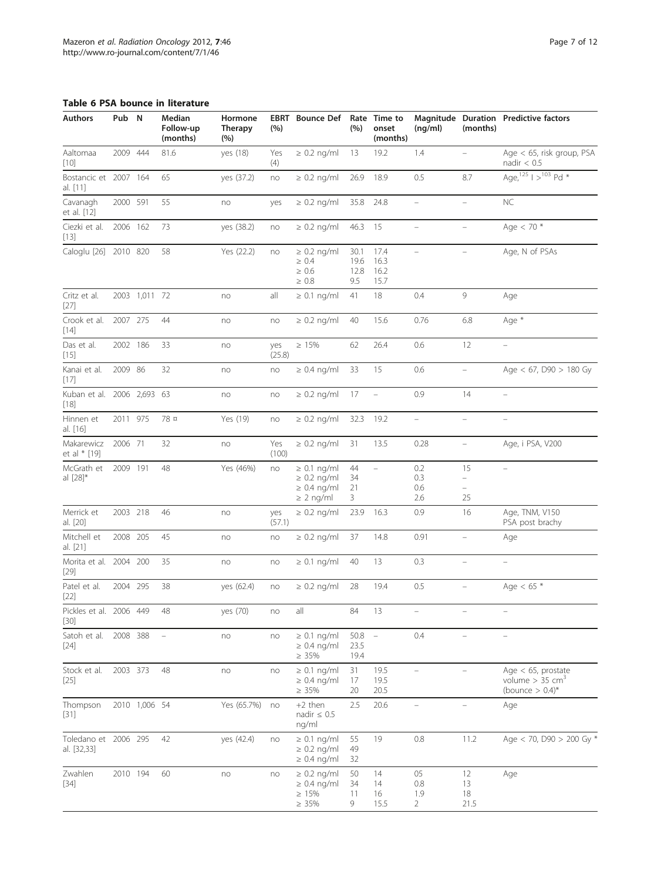## <span id="page-6-0"></span>Table 6 PSA bounce in literature

| <b>Authors</b>                       | Pub N    |               | Median<br>Follow-up<br>(months) | Hormone<br><b>Therapy</b><br>(%) | (%)           | EBRT Bounce Def Rate Time to                                               | (%)                         | onset<br>(months)            | (nq/ml)                            | (months)                                  | Magnitude Duration Predictive factors                                       |
|--------------------------------------|----------|---------------|---------------------------------|----------------------------------|---------------|----------------------------------------------------------------------------|-----------------------------|------------------------------|------------------------------------|-------------------------------------------|-----------------------------------------------------------------------------|
| Aaltomaa<br>$[10]$                   | 2009 444 |               | 81.6                            | yes (18)                         | Yes<br>(4)    | $\geq$ 0.2 ng/ml                                                           | 13                          | 19.2                         | 1.4                                | Ξ,                                        | Age $<$ 65, risk group, PSA<br>nadir $< 0.5$                                |
| Bostancic et 2007 164<br>al. [11]    |          |               | 65                              | yes (37.2)                       | no            | $\geq$ 0.2 ng/ml                                                           | 26.9                        | 18.9                         | 0.5                                | 8.7                                       | Age, $125$   $>$ $103$ Pd *                                                 |
| Cavanagh<br>et al. [12]              | 2000 591 |               | 55                              | no                               | yes           | $\geq 0.2$ ng/ml                                                           | 35.8                        | 24.8                         | $\equiv$                           | $\overline{a}$                            | <b>NC</b>                                                                   |
| Ciezki et al.<br>$[13]$              | 2006 162 |               | 73                              | yes (38.2)                       | no            | $\geq 0.2$ ng/ml                                                           | 46.3 15                     |                              | $\overline{\phantom{0}}$           | ÷,                                        | Age $< 70$ *                                                                |
| Caloglu [26] 2010 820                |          |               | 58                              | Yes (22.2)                       | no            | $\geq 0.2$ ng/ml<br>$\geq 0.4$<br>$\geq 0.6$<br>$\geq 0.8$                 | 30.1<br>19.6<br>12.8<br>9.5 | 17.4<br>16.3<br>16.2<br>15.7 | $\overline{a}$                     | $\equiv$                                  | Age, N of PSAs                                                              |
| Critz et al.<br>[27]                 |          | 2003 1,011 72 |                                 | no                               | all           | $\geq$ 0.1 ng/ml                                                           | 41                          | 18                           | 0.4                                | 9                                         | Age                                                                         |
| Crook et al.<br>$[14]$               | 2007 275 |               | 44                              | no                               | no            | $\geq 0.2$ ng/ml                                                           | 40                          | 15.6                         | 0.76                               | 6.8                                       | Age *                                                                       |
| Das et al.<br>$[15]$                 | 2002 186 |               | 33                              | no                               | yes<br>(25.8) | $\geq 15\%$                                                                | 62                          | 26.4                         | 0.6                                | 12                                        |                                                                             |
| Kanai et al.<br>$[17]$               | 2009 86  |               | 32                              | no                               | no            | $\geq$ 0.4 ng/ml                                                           | 33                          | 15                           | 0.6                                | $\equiv$                                  | Age $< 67$ , D90 $> 180$ Gy                                                 |
| Kuban et al. 2006 2,693 63<br>$[18]$ |          |               |                                 | no                               | no            | $\geq 0.2$ ng/ml                                                           | 17                          | $\equiv$                     | 0.9                                | 14                                        | $\overline{\phantom{m}}$                                                    |
| Hinnen et<br>al. [16]                | 2011 975 |               | 78 ¤                            | Yes (19)                         | no            | $\geq$ 0.2 ng/ml                                                           | 32.3                        | 19.2                         | $\equiv$                           | $\overline{\phantom{0}}$                  | $\overline{\phantom{0}}$                                                    |
| Makarewicz<br>et al * [19]           | 2006 71  |               | 32                              | no                               | Yes<br>(100)  | $\geq 0.2$ ng/ml                                                           | 31                          | 13.5                         | 0.28                               | $\overline{\phantom{0}}$                  | Age, i PSA, V200                                                            |
| McGrath et<br>al [28]*               | 2009 191 |               | 48                              | Yes (46%)                        | no            | $\geq$ 0.1 ng/ml<br>$\geq$ 0.2 ng/ml<br>$\geq 0.4$ ng/ml<br>$\geq$ 2 ng/ml | 44<br>34<br>21<br>3         | $\equiv$                     | 0.2<br>0.3<br>0.6<br>2.6           | 15<br>-<br>$\overline{\phantom{0}}$<br>25 | $\equiv$                                                                    |
| Merrick et<br>al. [20]               | 2003 218 |               | 46                              | no                               | yes<br>(57.1) | $\geq$ 0.2 ng/ml                                                           | 23.9                        | 16.3                         | 0.9                                | 16                                        | Age, TNM, V150<br>PSA post brachy                                           |
| Mitchell et<br>al. [21]              | 2008 205 |               | 45                              | no                               | no            | $\geq 0.2$ ng/ml                                                           | 37                          | 14.8                         | 0.91                               |                                           | Age                                                                         |
| Morita et al. 2004<br>$[29]$         |          | 200           | 35                              | no                               | no            | $\geq 0.1$ ng/ml                                                           | 40                          | 13                           | 0.3                                | $\equiv$                                  | $\equiv$                                                                    |
| Patel et al.<br>$[22]$               | 2004 295 |               | 38                              | yes (62.4)                       | no            | $\geq 0.2$ ng/ml                                                           | 28                          | 19.4                         | 0.5                                | $\equiv$                                  | Age < $65 *$                                                                |
| Pickles et al. 2006 449 48<br>[30]   |          |               |                                 | yes (70)                         | no            | all                                                                        | 84                          | 13                           |                                    |                                           |                                                                             |
| Satoh et al.<br>$[24]$               | 2008 388 |               |                                 | no                               | no            | $\geq$ 0.1 ng/ml<br>$\geq$ 0.4 ng/ml<br>$\geq 35\%$                        | $50.8 -$<br>23.5<br>19.4    |                              | 0.4                                |                                           |                                                                             |
| Stock et al.<br>$[25]$               | 2003 373 |               | 48                              | no                               | no            | $\geq 0.1$ ng/ml<br>$\geq$ 0.4 ng/ml<br>$\geq 35\%$                        | 31<br>17<br>20              | 19.5<br>19.5<br>20.5         |                                    |                                           | Age $<$ 65, prostate<br>volume $> 35$ cm <sup>3</sup><br>(bounce $> 0.4$ )* |
| Thompson<br>$[31]$                   |          | 2010 1,006 54 |                                 | Yes (65.7%)                      | no            | $+2$ then<br>nadir $\leq 0.5$<br>ng/ml                                     | 2.5                         | 20.6                         |                                    | $\overline{\phantom{0}}$                  | Age                                                                         |
| Toledano et 2006 295<br>al. [32,33]  |          |               | 42                              | yes (42.4)                       | no            | $\geq 0.1$ ng/ml<br>$\geq$ 0.2 ng/ml<br>$\geq 0.4$ ng/ml                   | 55<br>49<br>32              | 19                           | 0.8                                | 11.2                                      | Age < 70, D90 > 200 Gy *                                                    |
| Zwahlen<br>$[34]$                    | 2010 194 |               | 60                              | no                               | no            | $\geq$ 0.2 ng/ml<br>$\geq$ 0.4 ng/ml<br>$\geq 15\%$<br>$\geq 35\%$         | 50<br>34<br>11<br>9         | 14<br>14<br>16<br>15.5       | 05<br>0.8<br>1.9<br>$\overline{2}$ | 12<br>13<br>18<br>21.5                    | Age                                                                         |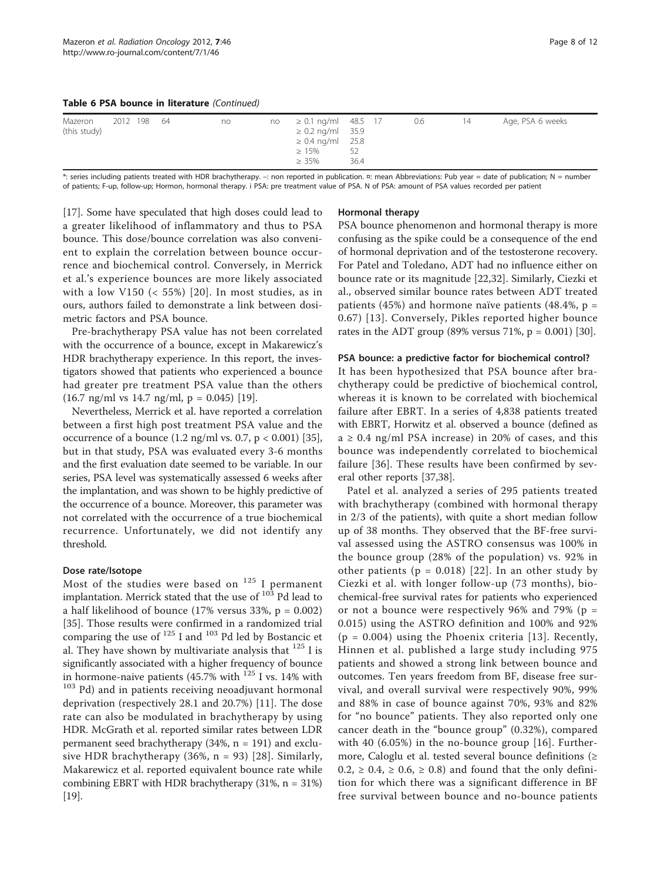| Table 6 PSA bounce in literature (Continued) |  |  |
|----------------------------------------------|--|--|
|----------------------------------------------|--|--|

| Mazeron<br>(this study) | 2012 198 64 |  |  | no |  | $no \geq 0.1$ ng/ml 48.5 17<br>$\geq$ 0.2 ng/ml 35.9<br>$\geq 0.4$ ng/ml 25.8<br>$\geq 15\%$<br>$\geq 35\%$ | 52<br>36.4 |  | 0.6 | 14 | Age, PSA 6 weeks |
|-------------------------|-------------|--|--|----|--|-------------------------------------------------------------------------------------------------------------|------------|--|-----|----|------------------|
|-------------------------|-------------|--|--|----|--|-------------------------------------------------------------------------------------------------------------|------------|--|-----|----|------------------|

\*: series including patients treated with HDR brachytherapy. –: non reported in publication. ¤: mean Abbreviations: Pub year = date of publication; N = number of patients; F-up, follow-up; Hormon, hormonal therapy. i PSA: pre treatment value of PSA. N of PSA: amount of PSA values recorded per patient

[[17\]](#page-10-0). Some have speculated that high doses could lead to a greater likelihood of inflammatory and thus to PSA bounce. This dose/bounce correlation was also convenient to explain the correlation between bounce occurrence and biochemical control. Conversely, in Merrick et al.'s experience bounces are more likely associated with a low V150  $\left($  < 55% $\right)$  [[20](#page-10-0)]. In most studies, as in ours, authors failed to demonstrate a link between dosimetric factors and PSA bounce.

Pre-brachytherapy PSA value has not been correlated with the occurrence of a bounce, except in Makarewicz's HDR brachytherapy experience. In this report, the investigators showed that patients who experienced a bounce had greater pre treatment PSA value than the others  $(16.7 \text{ ng/ml vs } 14.7 \text{ ng/ml}, p = 0.045)$  [\[19](#page-10-0)].

Nevertheless, Merrick et al. have reported a correlation between a first high post treatment PSA value and the occurrence of a bounce  $(1.2 \text{ ng/ml vs. } 0.7, \text{ p} < 0.001)$  [[35](#page-10-0)], but in that study, PSA was evaluated every 3-6 months and the first evaluation date seemed to be variable. In our series, PSA level was systematically assessed 6 weeks after the implantation, and was shown to be highly predictive of the occurrence of a bounce. Moreover, this parameter was not correlated with the occurrence of a true biochemical recurrence. Unfortunately, we did not identify any threshold.

## Dose rate/Isotope

Most of the studies were based on  $125$  I permanent implantation. Merrick stated that the use of  $10^3$  Pd lead to a half likelihood of bounce (17% versus 33%,  $p = 0.002$ ) [[35\]](#page-10-0). Those results were confirmed in a randomized trial comparing the use of <sup>125</sup> I and <sup>103</sup> Pd led by Bostancic et al. They have shown by multivariate analysis that  $125$  I is significantly associated with a higher frequency of bounce in hormone-naive patients (45.7% with  $^{125}$  I vs. 14% with  $103$  Pd) and in patients receiving neoadjuvant hormonal deprivation (respectively 28.1 and 20.7%) [[11\]](#page-10-0). The dose rate can also be modulated in brachytherapy by using HDR. McGrath et al. reported similar rates between LDR permanent seed brachytherapy (34%, n = 191) and exclusive HDR brachytherapy  $(36\%, n = 93)$  [[28\]](#page-10-0). Similarly, Makarewicz et al. reported equivalent bounce rate while combining EBRT with HDR brachytherapy  $(31\%, n = 31\%)$ [[19](#page-10-0)].

## Hormonal therapy

PSA bounce phenomenon and hormonal therapy is more confusing as the spike could be a consequence of the end of hormonal deprivation and of the testosterone recovery. For Patel and Toledano, ADT had no influence either on bounce rate or its magnitude [[22,32\]](#page-10-0). Similarly, Ciezki et al., observed similar bounce rates between ADT treated patients (45%) and hormone naïve patients (48.4%,  $p =$ 0.67) [[13\]](#page-10-0). Conversely, Pikles reported higher bounce rates in the ADT group (89% versus 71%,  $p = 0.001$ ) [[30\]](#page-10-0).

## PSA bounce: a predictive factor for biochemical control?

It has been hypothesized that PSA bounce after brachytherapy could be predictive of biochemical control, whereas it is known to be correlated with biochemical failure after EBRT. In a series of 4,838 patients treated with EBRT, Horwitz et al. observed a bounce (defined as  $a \geq 0.4$  ng/ml PSA increase) in 20% of cases, and this bounce was independently correlated to biochemical failure [\[36](#page-10-0)]. These results have been confirmed by several other reports [\[37,](#page-10-0)[38\]](#page-11-0).

Patel et al. analyzed a series of 295 patients treated with brachytherapy (combined with hormonal therapy in 2/3 of the patients), with quite a short median follow up of 38 months. They observed that the BF-free survival assessed using the ASTRO consensus was 100% in the bounce group (28% of the population) vs. 92% in other patients ( $p = 0.018$ ) [[22](#page-10-0)]. In an other study by Ciezki et al. with longer follow-up (73 months), biochemical-free survival rates for patients who experienced or not a bounce were respectively 96% and 79% ( $p =$ 0.015) using the ASTRO definition and 100% and 92%  $(p = 0.004)$  using the Phoenix criteria [[13\]](#page-10-0). Recently, Hinnen et al. published a large study including 975 patients and showed a strong link between bounce and outcomes. Ten years freedom from BF, disease free survival, and overall survival were respectively 90%, 99% and 88% in case of bounce against 70%, 93% and 82% for "no bounce" patients. They also reported only one cancer death in the "bounce group" (0.32%), compared with 40 (6.05%) in the no-bounce group [[16](#page-10-0)]. Furthermore, Caloglu et al. tested several bounce definitions (≥  $0.2$ ,  $\geq 0.4$ ,  $\geq 0.6$ ,  $\geq 0.8$ ) and found that the only definition for which there was a significant difference in BF free survival between bounce and no-bounce patients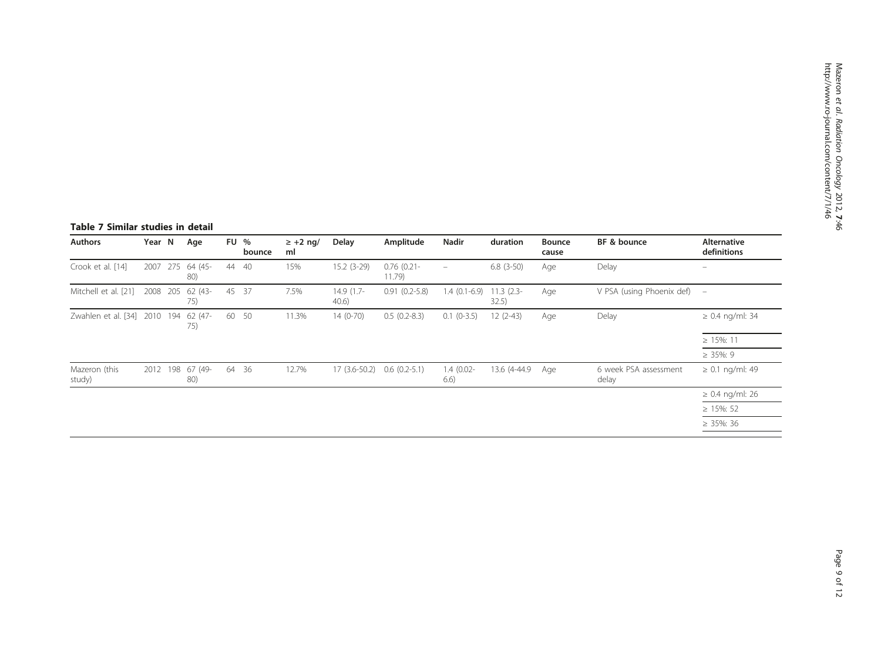## <span id="page-8-0"></span>Table 7 Similar studies in detail

| <b>Authors</b>               | Year N   |     | Age            | <b>FU %</b><br>bounce | $\geq$ +2 ng/<br>ml | Delay               | Amplitude               | Nadir                    | duration              | <b>Bounce</b><br>cause | BF & bounce                    | Alternative<br>definitions |
|------------------------------|----------|-----|----------------|-----------------------|---------------------|---------------------|-------------------------|--------------------------|-----------------------|------------------------|--------------------------------|----------------------------|
| Crook et al. [14]            | 2007     | 275 | 64 (45-<br>80) | 44 40                 | 15%                 | $15.2(3-29)$        | $0.76$ (0.21-<br>11.79) | $\overline{\phantom{m}}$ | $6.8(3-50)$           | Age                    | Delay                          | $\qquad \qquad -$          |
| Mitchell et al. [21]         | 2008 205 |     | 62 (43-<br>75) | 45 37                 | 7.5%                | 14.9 (1.7-<br>40.6) | $0.91(0.2-5.8)$         | $1.4(0.1-6.9)$           | $11.3$ (2.3-<br>32.5) | Age                    | V PSA (using Phoenix def)      | $\overline{\phantom{m}}$   |
| Zwahlen et al. [34] 2010 194 |          |     | 62 (47-<br>75) | 60 50                 | 11.3%               | $14(0-70)$          | $0.5(0.2-8.3)$          | $0.1(0-3.5)$             | $12(2-43)$            | Age                    | Delay                          | $\geq 0.4$ ng/ml: 34       |
|                              |          |     |                |                       |                     |                     |                         |                          |                       |                        |                                | $\geq$ 15%: 11             |
|                              |          |     |                |                       |                     |                     |                         |                          |                       |                        |                                | $\geq$ 35%: 9              |
| Mazeron (this<br>study)      | 2012     | 198 | 67 (49-<br>80) | 64 36                 | 12.7%               | $17(3.6-50.2)$      | $0.6(0.2-5.1)$          | $1.4(0.02 -$<br>6.6)     | 13.6 (4-44.9)         | Age                    | 6 week PSA assessment<br>delay | $\geq 0.1$ ng/ml: 49       |
|                              |          |     |                |                       |                     |                     |                         |                          |                       |                        |                                | $\geq 0.4$ ng/ml: 26       |
|                              |          |     |                |                       |                     |                     |                         |                          |                       |                        |                                | $\geq$ 15%: 52             |
|                              |          |     |                |                       |                     |                     |                         |                          |                       |                        |                                | $\geq$ 35%: 36             |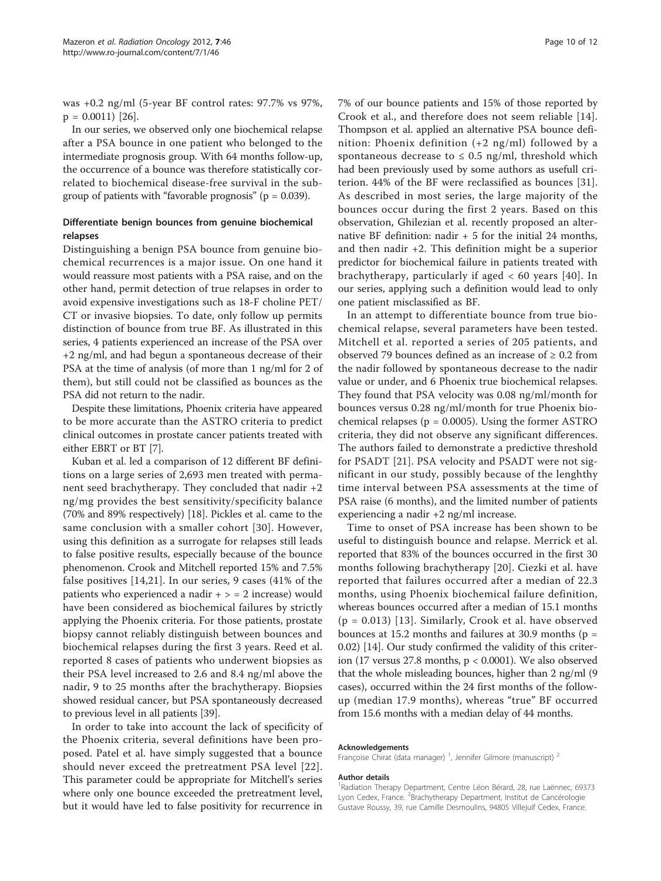was +0.2 ng/ml (5-year BF control rates: 97.7% vs 97%,  $p = 0.0011$  [\[26\]](#page-10-0).

In our series, we observed only one biochemical relapse after a PSA bounce in one patient who belonged to the intermediate prognosis group. With 64 months follow-up, the occurrence of a bounce was therefore statistically correlated to biochemical disease-free survival in the subgroup of patients with "favorable prognosis" ( $p = 0.039$ ).

## Differentiate benign bounces from genuine biochemical relapses

Distinguishing a benign PSA bounce from genuine biochemical recurrences is a major issue. On one hand it would reassure most patients with a PSA raise, and on the other hand, permit detection of true relapses in order to avoid expensive investigations such as 18-F choline PET/ CT or invasive biopsies. To date, only follow up permits distinction of bounce from true BF. As illustrated in this series, 4 patients experienced an increase of the PSA over +2 ng/ml, and had begun a spontaneous decrease of their PSA at the time of analysis (of more than 1 ng/ml for 2 of them), but still could not be classified as bounces as the PSA did not return to the nadir.

Despite these limitations, Phoenix criteria have appeared to be more accurate than the ASTRO criteria to predict clinical outcomes in prostate cancer patients treated with either EBRT or BT [[7](#page-10-0)].

Kuban et al. led a comparison of 12 different BF definitions on a large series of 2,693 men treated with permanent seed brachytherapy. They concluded that nadir +2 ng/mg provides the best sensitivity/specificity balance (70% and 89% respectively) [\[18\]](#page-10-0). Pickles et al. came to the same conclusion with a smaller cohort [[30](#page-10-0)]. However, using this definition as a surrogate for relapses still leads to false positive results, especially because of the bounce phenomenon. Crook and Mitchell reported 15% and 7.5% false positives [[14,21](#page-10-0)]. In our series, 9 cases (41% of the patients who experienced a nadir  $+$  > = 2 increase) would have been considered as biochemical failures by strictly applying the Phoenix criteria. For those patients, prostate biopsy cannot reliably distinguish between bounces and biochemical relapses during the first 3 years. Reed et al. reported 8 cases of patients who underwent biopsies as their PSA level increased to 2.6 and 8.4 ng/ml above the nadir, 9 to 25 months after the brachytherapy. Biopsies showed residual cancer, but PSA spontaneously decreased to previous level in all patients [[39](#page-11-0)].

In order to take into account the lack of specificity of the Phoenix criteria, several definitions have been proposed. Patel et al. have simply suggested that a bounce should never exceed the pretreatment PSA level [[22\]](#page-10-0). This parameter could be appropriate for Mitchell's series where only one bounce exceeded the pretreatment level, but it would have led to false positivity for recurrence in 7% of our bounce patients and 15% of those reported by Crook et al., and therefore does not seem reliable [[14](#page-10-0)]. Thompson et al. applied an alternative PSA bounce definition: Phoenix definition (+2 ng/ml) followed by a spontaneous decrease to  $\leq$  0.5 ng/ml, threshold which had been previously used by some authors as usefull criterion. 44% of the BF were reclassified as bounces [\[31](#page-10-0)]. As described in most series, the large majority of the bounces occur during the first 2 years. Based on this observation, Ghilezian et al. recently proposed an alternative BF definition: nadir + 5 for the initial 24 months, and then nadir +2. This definition might be a superior predictor for biochemical failure in patients treated with brachytherapy, particularly if aged < 60 years [[40](#page-11-0)]. In our series, applying such a definition would lead to only one patient misclassified as BF.

In an attempt to differentiate bounce from true biochemical relapse, several parameters have been tested. Mitchell et al. reported a series of 205 patients, and observed 79 bounces defined as an increase of  $\geq 0.2$  from the nadir followed by spontaneous decrease to the nadir value or under, and 6 Phoenix true biochemical relapses. They found that PSA velocity was 0.08 ng/ml/month for bounces versus 0.28 ng/ml/month for true Phoenix biochemical relapses ( $p = 0.0005$ ). Using the former ASTRO criteria, they did not observe any significant differences. The authors failed to demonstrate a predictive threshold for PSADT [\[21](#page-10-0)]. PSA velocity and PSADT were not significant in our study, possibly because of the lenghthy time interval between PSA assessments at the time of PSA raise (6 months), and the limited number of patients experiencing a nadir +2 ng/ml increase.

Time to onset of PSA increase has been shown to be useful to distinguish bounce and relapse. Merrick et al. reported that 83% of the bounces occurred in the first 30 months following brachytherapy [[20](#page-10-0)]. Ciezki et al. have reported that failures occurred after a median of 22.3 months, using Phoenix biochemical failure definition, whereas bounces occurred after a median of 15.1 months  $(p = 0.013)$  [\[13\]](#page-10-0). Similarly, Crook et al. have observed bounces at 15.2 months and failures at 30.9 months ( $p =$ 0.02) [[14](#page-10-0)]. Our study confirmed the validity of this criterion (17 versus 27.8 months, p < 0.0001). We also observed that the whole misleading bounces, higher than 2 ng/ml (9 cases), occurred within the 24 first months of the followup (median 17.9 months), whereas "true" BF occurred from 15.6 months with a median delay of 44 months.

#### Acknowledgements

Françoise Chirat (data manager)<sup>1</sup>, Jennifer Gilmore (manuscript)<sup>2</sup>

#### Author details

<sup>1</sup> Radiation Therapy Department, Centre Léon Bérard, 28, rue Laënnec, 69373 Lyon Cedex, France. <sup>2</sup>Brachytherapy Department, Institut de Cancérologie Gustave Roussy, 39, rue Camille Desmoulins, 94805 Villejuif Cedex, France.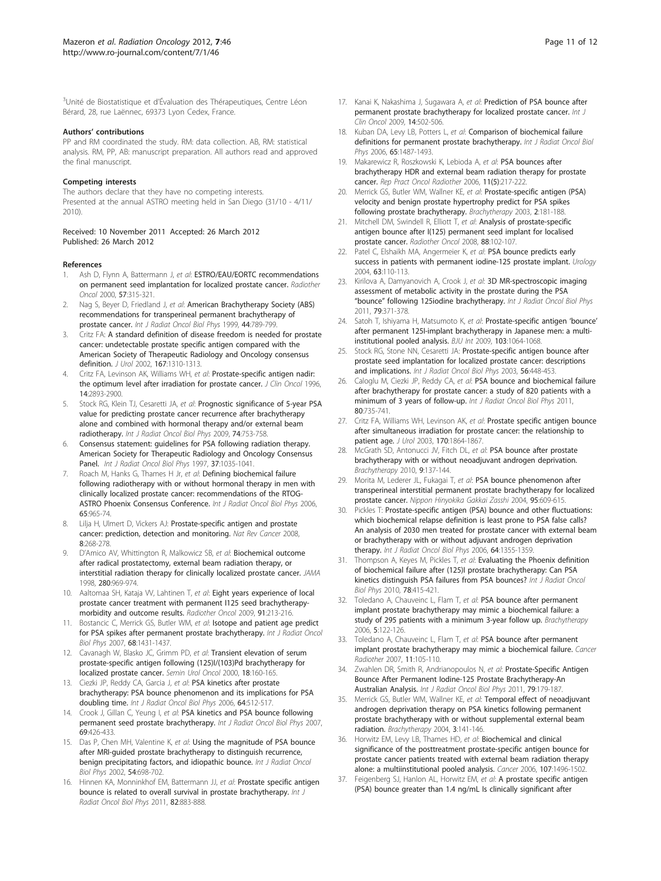#### <span id="page-10-0"></span>Authors' contributions

PP and RM coordinated the study. RM: data collection. AB, RM: statistical analysis. RM, PP, AB: manuscript preparation. All authors read and approved the final manuscript.

#### Competing interests

The authors declare that they have no competing interests. Presented at the annual ASTRO meeting held in San Diego (31/10 - 4/11/ 2010).

#### Received: 10 November 2011 Accepted: 26 March 2012 Published: 26 March 2012

#### References

- Ash D, Flynn A, Battermann J, et al: [ESTRO/EAU/EORTC recommendations](http://www.ncbi.nlm.nih.gov/pubmed/11104892?dopt=Abstract) [on permanent seed implantation for localized prostate cancer.](http://www.ncbi.nlm.nih.gov/pubmed/11104892?dopt=Abstract) Radiother Oncol 2000, 57:315-321.
- Nag S, Beyer D, Friedland J, et al: [American Brachytherapy Society \(ABS\)](http://www.ncbi.nlm.nih.gov/pubmed/10386635?dopt=Abstract) [recommendations for transperineal permanent brachytherapy of](http://www.ncbi.nlm.nih.gov/pubmed/10386635?dopt=Abstract) [prostate cancer.](http://www.ncbi.nlm.nih.gov/pubmed/10386635?dopt=Abstract) Int J Radiat Oncol Biol Phys 1999, 44:789-799.
- 3. Critz FA: [A standard definition of disease freedom is needed for prostate](http://www.ncbi.nlm.nih.gov/pubmed/11832720?dopt=Abstract) [cancer: undetectable prostate specific antigen compared with the](http://www.ncbi.nlm.nih.gov/pubmed/11832720?dopt=Abstract) [American Society of Therapeutic Radiology and Oncology consensus](http://www.ncbi.nlm.nih.gov/pubmed/11832720?dopt=Abstract) [definition.](http://www.ncbi.nlm.nih.gov/pubmed/11832720?dopt=Abstract) J Urol 2002, 167:1310-1313.
- 4. Critz FA, Levinson AK, Williams WH, et al: [Prostate-specific antigen nadir:](http://www.ncbi.nlm.nih.gov/pubmed/8918485?dopt=Abstract) [the optimum level after irradiation for prostate cancer.](http://www.ncbi.nlm.nih.gov/pubmed/8918485?dopt=Abstract) J Clin Oncol 1996, 14:2893-2900.
- 5. Stock RG, Klein TJ, Cesaretti JA, et al: [Prognostic significance of 5-year PSA](http://www.ncbi.nlm.nih.gov/pubmed/19084351?dopt=Abstract) [value for predicting prostate cancer recurrence after brachytherapy](http://www.ncbi.nlm.nih.gov/pubmed/19084351?dopt=Abstract) [alone and combined with hormonal therapy and/or external beam](http://www.ncbi.nlm.nih.gov/pubmed/19084351?dopt=Abstract) [radiotherapy.](http://www.ncbi.nlm.nih.gov/pubmed/19084351?dopt=Abstract) Int J Radiat Oncol Biol Phys 2009, 74:753-758.
- 6. Consensus statement: guidelines for PSA following radiation therapy. American Society for Therapeutic Radiology and Oncology Consensus Panel. Int J Radiat Oncol Biol Phys 1997, 37:1035-1041.
- 7. Roach M, Hanks G, Thames H Jr, et al: [Defining biochemical failure](http://www.ncbi.nlm.nih.gov/pubmed/16798415?dopt=Abstract) [following radiotherapy with or without hormonal therapy in men with](http://www.ncbi.nlm.nih.gov/pubmed/16798415?dopt=Abstract) [clinically localized prostate cancer: recommendations of the RTOG-](http://www.ncbi.nlm.nih.gov/pubmed/16798415?dopt=Abstract)[ASTRO Phoenix Consensus Conference.](http://www.ncbi.nlm.nih.gov/pubmed/16798415?dopt=Abstract) Int J Radiat Oncol Biol Phys 2006, 65:965-74.
- 8. Lilja H, Ulmert D, Vickers AJ: [Prostate-specific antigen and prostate](http://www.ncbi.nlm.nih.gov/pubmed/18337732?dopt=Abstract) [cancer: prediction, detection and monitoring.](http://www.ncbi.nlm.nih.gov/pubmed/18337732?dopt=Abstract) Nat Rev Cancer 2008, 8:268-278.
- 9. D'Amico AV, Whittington R, Malkowicz SB, et al: [Biochemical outcome](http://www.ncbi.nlm.nih.gov/pubmed/9749478?dopt=Abstract) [after radical prostatectomy, external beam radiation therapy, or](http://www.ncbi.nlm.nih.gov/pubmed/9749478?dopt=Abstract) [interstitial radiation therapy for clinically localized prostate cancer.](http://www.ncbi.nlm.nih.gov/pubmed/9749478?dopt=Abstract) JAMA 1998, 280:969-974.
- 10. Aaltomaa SH, Kataja W, Lahtinen T, et al: [Eight years experience of local](http://www.ncbi.nlm.nih.gov/pubmed/19167119?dopt=Abstract) [prostate cancer treatment with permanent I125 seed brachytherapy](http://www.ncbi.nlm.nih.gov/pubmed/19167119?dopt=Abstract)[morbidity and outcome results.](http://www.ncbi.nlm.nih.gov/pubmed/19167119?dopt=Abstract) Radiother Oncol 2009, 91:213-216.
- 11. Bostancic C, Merrick GS, Butler WM, et al: [Isotope and patient age predict](http://www.ncbi.nlm.nih.gov/pubmed/17544597?dopt=Abstract) [for PSA spikes after permanent prostate brachytherapy.](http://www.ncbi.nlm.nih.gov/pubmed/17544597?dopt=Abstract) Int J Radiat Oncol Biol Phys 2007, 68:1431-1437.
- 12. Cavanagh W, Blasko JC, Grimm PD, et al: Transient [elevation of serum](http://www.ncbi.nlm.nih.gov/pubmed/10875459?dopt=Abstract) [prostate-specific antigen following \(125\)I/\(103\)Pd brachytherapy for](http://www.ncbi.nlm.nih.gov/pubmed/10875459?dopt=Abstract) [localized prostate cancer.](http://www.ncbi.nlm.nih.gov/pubmed/10875459?dopt=Abstract) Semin Urol Oncol 2000, 18:160-165.
- 13. Ciezki JP, Reddy CA, Garcia J, et al: [PSA kinetics after prostate](http://www.ncbi.nlm.nih.gov/pubmed/16213667?dopt=Abstract) [brachytherapy: PSA bounce phenomenon and its implications for PSA](http://www.ncbi.nlm.nih.gov/pubmed/16213667?dopt=Abstract) [doubling time.](http://www.ncbi.nlm.nih.gov/pubmed/16213667?dopt=Abstract) Int J Radiat Oncol Biol Phys 2006, 64:512-517.
- 14. Crook J, Gillan C, Yeung I, et al: [PSA kinetics and PSA bounce following](http://www.ncbi.nlm.nih.gov/pubmed/17869662?dopt=Abstract) [permanent seed prostate brachytherapy.](http://www.ncbi.nlm.nih.gov/pubmed/17869662?dopt=Abstract) Int J Radiat Oncol Biol Phys 2007, 69:426-433.
- 15. Das P, Chen MH, Valentine K, et al: [Using the magnitude of PSA bounce](http://www.ncbi.nlm.nih.gov/pubmed/12377320?dopt=Abstract) [after MRI-guided prostate brachytherapy to distinguish recurrence,](http://www.ncbi.nlm.nih.gov/pubmed/12377320?dopt=Abstract) [benign precipitating factors, and idiopathic bounce.](http://www.ncbi.nlm.nih.gov/pubmed/12377320?dopt=Abstract) Int J Radiat Oncol Biol Phys 2002, 54:698-702.
- 16. Hinnen KA, Monninkhof EM, Battermann JJ, et al: [Prostate specific antigen](http://www.ncbi.nlm.nih.gov/pubmed/21300477?dopt=Abstract) [bounce is related to overall survival in prostate brachytherapy.](http://www.ncbi.nlm.nih.gov/pubmed/21300477?dopt=Abstract) Int J Radiat Oncol Biol Phys 2011, 82:883-888.
- 17. Kanai K, Nakashima J, Sugawara A, et al: [Prediction of PSA bounce after](http://www.ncbi.nlm.nih.gov/pubmed/19967485?dopt=Abstract) [permanent prostate brachytherapy for localized prostate cancer.](http://www.ncbi.nlm.nih.gov/pubmed/19967485?dopt=Abstract) Int J Clin Oncol 2009, 14:502-506.
- 18. Kuban DA, Levy LB, Potters L, et al: [Comparison of biochemical failure](http://www.ncbi.nlm.nih.gov/pubmed/16750326?dopt=Abstract) [definitions for permanent prostate brachytherapy.](http://www.ncbi.nlm.nih.gov/pubmed/16750326?dopt=Abstract) Int J Radiat Oncol Biol Phys 2006, 65:1487-1493.
- 19. Makarewicz R, Roszkowski K, Lebioda A, et al: PSA bounces after brachytherapy HDR and external beam radiation therapy for prostate cancer. Rep Pract Oncol Radiother 2006, 11(5):217-222.
- 20. Merrick GS, Butler WM, Wallner KE, et al: [Prostate-specific antigen \(PSA\)](http://www.ncbi.nlm.nih.gov/pubmed/15062141?dopt=Abstract) [velocity and benign prostate hypertrophy predict for PSA spikes](http://www.ncbi.nlm.nih.gov/pubmed/15062141?dopt=Abstract) [following prostate brachytherapy.](http://www.ncbi.nlm.nih.gov/pubmed/15062141?dopt=Abstract) Brachytherapy 2003, 2:181-188.
- 21. Mitchell DM, Swindell R, Elliott T, et al: [Analysis of prostate-specific](http://www.ncbi.nlm.nih.gov/pubmed/18453022?dopt=Abstract) [antigen bounce after I\(125\) permanent seed implant for localised](http://www.ncbi.nlm.nih.gov/pubmed/18453022?dopt=Abstract) [prostate cancer.](http://www.ncbi.nlm.nih.gov/pubmed/18453022?dopt=Abstract) Radiother Oncol 2008, 88:102-107.
- 22. Patel C, Elshaikh MA, Angermeier K, et al: [PSA bounce predicts early](http://www.ncbi.nlm.nih.gov/pubmed/14751360?dopt=Abstract) [success in patients with permanent iodine-125 prostate implant.](http://www.ncbi.nlm.nih.gov/pubmed/14751360?dopt=Abstract) Urology 2004, 63:110-113.
- 23. Kirilova A, Damyanovich A, Crook J, et al: [3D MR-spectroscopic imaging](http://www.ncbi.nlm.nih.gov/pubmed/20421147?dopt=Abstract) [assessment of metabolic activity in the prostate during the PSA](http://www.ncbi.nlm.nih.gov/pubmed/20421147?dopt=Abstract) "bounce" [following 125iodine brachytherapy.](http://www.ncbi.nlm.nih.gov/pubmed/20421147?dopt=Abstract) Int J Radiat Oncol Biol Phys 2011, 79:371-378.
- 24. Satoh T, Ishiyama H, Matsumoto K, et al: [Prostate-specific antigen](http://www.ncbi.nlm.nih.gov/pubmed/19040526?dopt=Abstract) 'bounce' [after permanent 125I-implant brachytherapy in Japanese men: a multi](http://www.ncbi.nlm.nih.gov/pubmed/19040526?dopt=Abstract)[institutional pooled analysis.](http://www.ncbi.nlm.nih.gov/pubmed/19040526?dopt=Abstract) BJU Int 2009, 103:1064-1068.
- 25. Stock RG, Stone NN, Cesaretti JA: [Prostate-specific antigen bounce after](http://www.ncbi.nlm.nih.gov/pubmed/12738319?dopt=Abstract) [prostate seed implantation for localized prostate cancer: descriptions](http://www.ncbi.nlm.nih.gov/pubmed/12738319?dopt=Abstract) [and implications.](http://www.ncbi.nlm.nih.gov/pubmed/12738319?dopt=Abstract) Int J Radiat Oncol Biol Phys 2003, 56:448-453.
- 26. Caloglu M, Ciezki JP, Reddy CA, et al: [PSA bounce and biochemical failure](http://www.ncbi.nlm.nih.gov/pubmed/20646846?dopt=Abstract) [after brachytherapy for prostate cancer: a study of 820 patients with a](http://www.ncbi.nlm.nih.gov/pubmed/20646846?dopt=Abstract) [minimum of 3 years of follow-up.](http://www.ncbi.nlm.nih.gov/pubmed/20646846?dopt=Abstract) Int J Radiat Oncol Biol Phys 2011, 80:735-741.
- 27. Critz FA, Williams WH, Levinson AK, et al: [Prostate specific antigen bounce](http://www.ncbi.nlm.nih.gov/pubmed/14532794?dopt=Abstract) [after simultaneous irradiation for prostate cancer: the relationship to](http://www.ncbi.nlm.nih.gov/pubmed/14532794?dopt=Abstract) [patient age.](http://www.ncbi.nlm.nih.gov/pubmed/14532794?dopt=Abstract) J Urol 2003, 170:1864-1867.
- 28. McGrath SD, Antonucci JV, Fitch DL, et al: [PSA bounce after prostate](http://www.ncbi.nlm.nih.gov/pubmed/19850537?dopt=Abstract) [brachytherapy with or without neoadjuvant androgen deprivation.](http://www.ncbi.nlm.nih.gov/pubmed/19850537?dopt=Abstract) Brachytherapy 2010, 9:137-144.
- 29. Morita M, Lederer JL, Fukagai T, et al: [PSA bounce phenomenon after](http://www.ncbi.nlm.nih.gov/pubmed/15103924?dopt=Abstract) [transperineal interstitial permanent prostate brachytherapy for localized](http://www.ncbi.nlm.nih.gov/pubmed/15103924?dopt=Abstract) [prostate cancer.](http://www.ncbi.nlm.nih.gov/pubmed/15103924?dopt=Abstract) Nippon Hinyokika Gakkai Zasshi 2004, 95:609-615.
- Pickles T: [Prostate-specific antigen \(PSA\) bounce and other fluctuations:](http://www.ncbi.nlm.nih.gov/pubmed/16406391?dopt=Abstract) [which biochemical relapse definition is least prone to PSA false calls?](http://www.ncbi.nlm.nih.gov/pubmed/16406391?dopt=Abstract) [An analysis of 2030 men treated for prostate cancer with external beam](http://www.ncbi.nlm.nih.gov/pubmed/16406391?dopt=Abstract) [or brachytherapy with or without adjuvant androgen deprivation](http://www.ncbi.nlm.nih.gov/pubmed/16406391?dopt=Abstract) [therapy.](http://www.ncbi.nlm.nih.gov/pubmed/16406391?dopt=Abstract) Int J Radiat Oncol Biol Phys 2006, 64:1355-1359.
- 31. Thompson A, Keyes M, Pickles T, et al: [Evaluating the Phoenix definition](http://www.ncbi.nlm.nih.gov/pubmed/20133083?dopt=Abstract) [of biochemical failure after \(125\)I prostate brachytherapy: Can PSA](http://www.ncbi.nlm.nih.gov/pubmed/20133083?dopt=Abstract) [kinetics distinguish PSA failures from PSA bounces?](http://www.ncbi.nlm.nih.gov/pubmed/20133083?dopt=Abstract) Int J Radiat Oncol Biol Phys 2010, 78:415-421.
- 32. Toledano A, Chauveinc L, Flam T, et al: [PSA bounce after permanent](http://www.ncbi.nlm.nih.gov/pubmed/16644467?dopt=Abstract) [implant prostate brachytherapy may mimic a biochemical failure: a](http://www.ncbi.nlm.nih.gov/pubmed/16644467?dopt=Abstract) [study of 295 patients with a minimum 3-year follow up.](http://www.ncbi.nlm.nih.gov/pubmed/16644467?dopt=Abstract) Brachytherapy 2006, 5:122-126.
- 33. Toledano A, Chauveinc L, Flam T, et al: PSA [bounce after permanent](http://www.ncbi.nlm.nih.gov/pubmed/17158082?dopt=Abstract) [implant prostate brachytherapy may mimic a biochemical failure.](http://www.ncbi.nlm.nih.gov/pubmed/17158082?dopt=Abstract) Cancer Radiother 2007, 11:105-110.
- Zwahlen DR, Smith R, Andrianopoulos N, et al: [Prostate-Specific Antigen](http://www.ncbi.nlm.nih.gov/pubmed/20378267?dopt=Abstract) [Bounce After Permanent Iodine-125 Prostate Brachytherapy-An](http://www.ncbi.nlm.nih.gov/pubmed/20378267?dopt=Abstract) [Australian Analysis.](http://www.ncbi.nlm.nih.gov/pubmed/20378267?dopt=Abstract) Int J Radiat Oncol Biol Phys 2011, 79:179-187.
- 35. Merrick GS, Butler WM, Wallner KE, et al: [Temporal effect of neoadjuvant](http://www.ncbi.nlm.nih.gov/pubmed/15533806?dopt=Abstract) [androgen deprivation therapy on PSA kinetics following permanent](http://www.ncbi.nlm.nih.gov/pubmed/15533806?dopt=Abstract) [prostate brachytherapy with or without supplemental external beam](http://www.ncbi.nlm.nih.gov/pubmed/15533806?dopt=Abstract) [radiation.](http://www.ncbi.nlm.nih.gov/pubmed/15533806?dopt=Abstract) Brachytherapy 2004, 3:141-146.
- 36. Horwitz EM, Levy LB, Thames HD, et al: [Biochemical and clinical](http://www.ncbi.nlm.nih.gov/pubmed/16944536?dopt=Abstract) [significance of the posttreatment prostate-specific antigen bounce for](http://www.ncbi.nlm.nih.gov/pubmed/16944536?dopt=Abstract) [prostate cancer patients treated with external beam radiation therapy](http://www.ncbi.nlm.nih.gov/pubmed/16944536?dopt=Abstract) [alone: a multiinstitutional pooled analysis.](http://www.ncbi.nlm.nih.gov/pubmed/16944536?dopt=Abstract) Cancer 2006, 107:1496-1502.
- 37. Feigenberg SJ, Hanlon AL, Horwitz EM, et al: [A prostate specific antigen](http://www.ncbi.nlm.nih.gov/pubmed/17023779?dopt=Abstract) [\(PSA\) bounce greater than 1.4 ng/mL Is clinically significant after](http://www.ncbi.nlm.nih.gov/pubmed/17023779?dopt=Abstract)